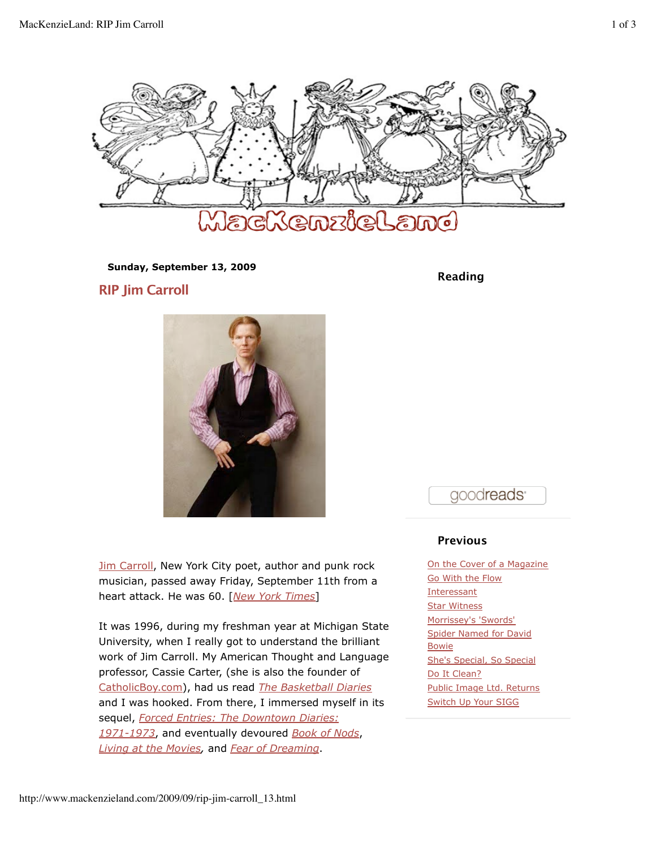

**Sunday, September 13, 2009**

**RIP Jim Carroll**



**Jim Carroll, New York City poet, author and punk rock** musician, passed away Friday, September 11th from a heart attack. He was 60. [*New York Times*]

It was 1996, during my freshman year at Michigan State University, when I really got to understand the brilliant work of Jim Carroll. My American Thought and Language professor, Cassie Carter, (she is also the founder of CatholicBoy.com), had us read *The Basketball Diaries* and I was hooked. From there, I immersed myself in its sequel, *Forced Entries: The Downtown Diaries: 1971-1973*, and eventually devoured *Book of Nods*, *Living at the Movies,* and *Fear of Dreaming*.

**Reading**

goodreads<sup>®</sup>

## **Previous**

On the Cover of a Magazine Go With the Flow **Interessant Star Witness** Morrissey's 'Swords' Spider Named for David Bowie She's Special, So Special Do It Clean? Public Image Ltd. Returns Switch Up Your SIGG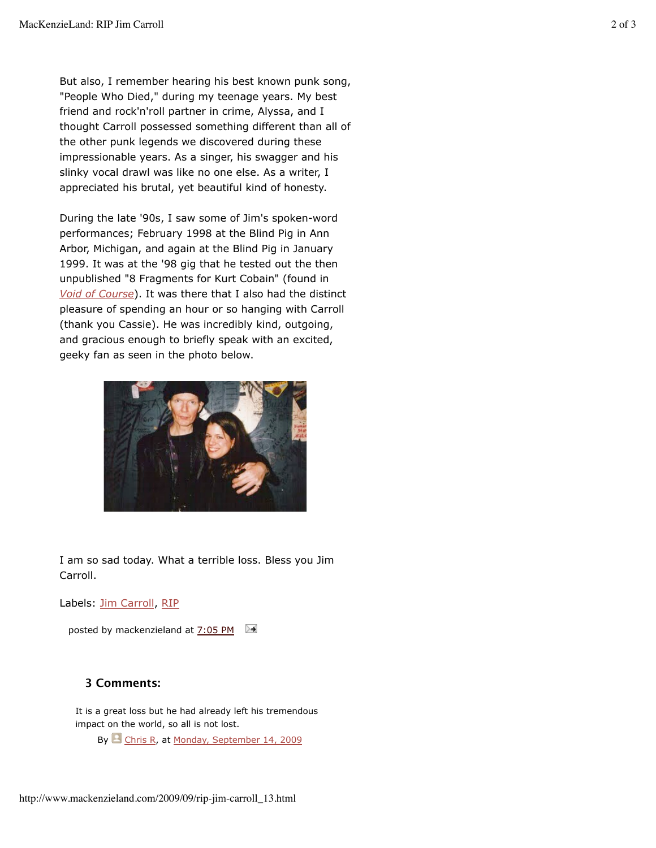But also, I remember hearing his best known punk song, "People Who Died," during my teenage years. My best friend and rock'n'roll partner in crime, Alyssa, and I thought Carroll possessed something different than all of the other punk legends we discovered during these impressionable years. As a singer, his swagger and his slinky vocal drawl was like no one else. As a writer, I appreciated his brutal, yet beautiful kind of honesty.

During the late '90s, I saw some of Jim's spoken-word performances; February 1998 at the Blind Pig in Ann Arbor, Michigan, and again at the Blind Pig in January 1999. It was at the '98 gig that he tested out the then unpublished "8 Fragments for Kurt Cobain" (found in *Void of Course*). It was there that I also had the distinct pleasure of spending an hour or so hanging with Carroll (thank you Cassie). He was incredibly kind, outgoing, and gracious enough to briefly speak with an excited, geeky fan as seen in the photo below.



I am so sad today. What a terrible loss. Bless you Jim Carroll.

Labels: Jim Carroll, RIP

posted by mackenzieland at  $7:05$  PM

## **3 Comments:**

It is a great loss but he had already left his tremendous impact on the world, so all is not lost.

By Chris R, at Monday, September 14, 2009